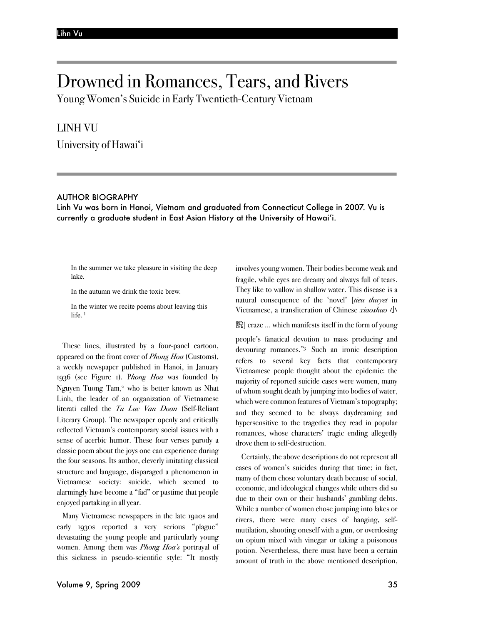# Drowned in Romances, Tears, and Rivers

Young Women's Suicide in Early Twentieth-Century Vietnam

# LINH VU

University of Hawai'i

## AUTHOR BIOGRAPHY

Linh Vu was born in Hanoi, Vietnam and graduated from Connecticut College in 2007. Vu is currently a graduate student in East Asian History at the University of Hawai'i.

In the summer we take pleasure in visiting the deep lake.

In the autumn we drink the toxic brew.

In the winter we recite poems about leaving this life.<sup>1</sup>

These lines, illustrated by a four-panel cartoon, appeared on the front cover of *Phong Hoa* (Customs), a weekly newspaper published in Hanoi, in January 1936 (see Figure 1). P*hong Hoa* was founded by Nguyen Tuong Tam,<sup>2</sup> who is better known as Nhat Linh, the leader of an organization of Vietnamese literati called the *Tu Luc Van Doan* (Self-Reliant Literary Group). The newspaper openly and critically reflected Vietnam's contemporary social issues with a sense of acerbic humor. These four verses parody a classic poem about the joys one can experience during the four seasons. Its author, cleverly imitating classical structure and language, disparaged a phenomenon in Vietnamese society: suicide, which seemed to alarmingly have become a "fad" or pastime that people enjoyed partaking in all year.

Many Vietnamese newspapers in the late 1920s and early 1930s reported a very serious "plague" devastating the young people and particularly young women. Among them was *Phong Hoa's* portrayal of this sickness in pseudo-scientific style: "It mostly

involves young women. Their bodies become weak and fragile, while eyes are dreamy and always full of tears. They like to wallow in shallow water. This disease is a natural consequence of the 'novel' [*tieu thuyet* in Vietnamese, a transliteration of Chinese *xiaoshuo* 小

說] craze ... which manifests itself in the form of young

people's fanatical devotion to mass producing and devouring romances."3 Such an ironic description refers to several key facts that contemporary Vietnamese people thought about the epidemic: the majority of reported suicide cases were women, many of whom sought death by jumping into bodies of water, which were common features of Vietnam's topography; and they seemed to be always daydreaming and hypersensitive to the tragedies they read in popular romances, whose characters' tragic ending allegedly drove them to self-destruction.

Certainly, the above descriptions do not represent all cases of women's suicides during that time; in fact, many of them chose voluntary death because of social, economic, and ideological changes while others did so due to their own or their husbands' gambling debts. While a number of women chose jumping into lakes or rivers, there were many cases of hanging, selfmutilation, shooting oneself with a gun, or overdosing on opium mixed with vinegar or taking a poisonous potion. Nevertheless, there must have been a certain amount of truth in the above mentioned description,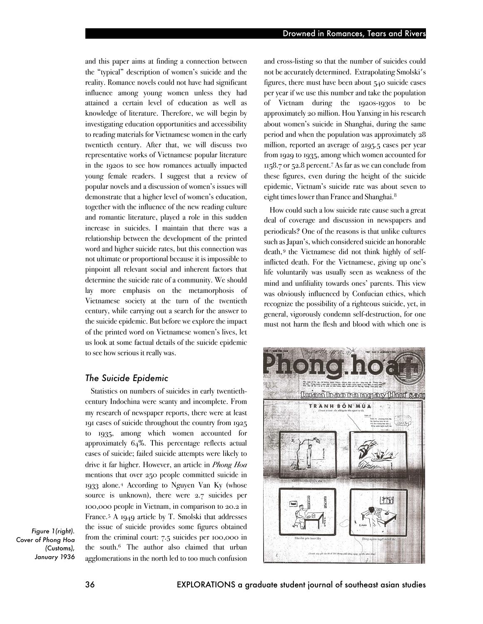and this paper aims at finding a connection between the "typical" description of women's suicide and the reality. Romance novels could not have had significant influence among young women unless they had attained a certain level of education as well as knowledge of literature. Therefore, we will begin by investigating education opportunities and accessibility to reading materials for Vietnamese women in the early twentieth century. After that, we will discuss two representative works of Vietnamese popular literature in the 1920s to see how romances actually impacted young female readers. I suggest that a review of popular novels and a discussion of women's issues will demonstrate that a higher level of women's education, together with the influence of the new reading culture and romantic literature, played a role in this sudden increase in suicides. I maintain that there was a relationship between the development of the printed word and higher suicide rates, but this connection was not ultimate or proportional because it is impossible to pinpoint all relevant social and inherent factors that determine the suicide rate of a community. We should lay more emphasis on the metamorphosis of Vietnamese society at the turn of the twentieth century, while carrying out a search for the answer to the suicide epidemic. But before we explore the impact of the printed word on Vietnamese women's lives, let us look at some factual details of the suicide epidemic to see how serious it really was.

## *The Suicide Epidemic*

Statistics on numbers of suicides in early twentiethcentury Indochina were scanty and incomplete. From my research of newspaper reports, there were at least 191 cases of suicide throughout the country from 1925 to 1935, among which women accounted for approximately 64%. This percentage reflects actual cases of suicide; failed suicide attempts were likely to drive it far higher. However, an article in *Phong Hoa*  mentions that over 250 people committed suicide in 1933 alone.4 According to Nguyen Van Ky (whose source is unknown), there were 2.7 suicides per 100,000 people in Vietnam, in comparison to 20.2 in France.5 A 1949 article by T. Smolski that addresses the issue of suicide provides some figures obtained from the criminal court: 7.5 suicides per 100,000 in the south.6 The author also claimed that urban agglomerations in the north led to too much confusion

and cross-listing so that the number of suicides could not be accurately determined. Extrapolating Smolski's figures, there must have been about 540 suicide cases per year if we use this number and take the population of Vietnam during the 1920s-1930s to be approximately 20 million. Hou Yanxing in his research about women's suicide in Shanghai, during the same period and when the population was approximately 28 million, reported an average of 2195.5 cases per year from 1929 to 1935, among which women accounted for 1158.7 or 52.8 percent.7 As far as we can conclude from these figures, even during the height of the suicide epidemic, Vietnam's suicide rate was about seven to eight times lower than France and Shanghai.<sup>8</sup>

How could such a low suicide rate cause such a great deal of coverage and discussion in newspapers and periodicals? One of the reasons is that unlike cultures such as Japan's, which considered suicide an honorable death,9 the Vietnamese did not think highly of selfinflicted death. For the Vietnamese, giving up one's life voluntarily was usually seen as weakness of the mind and unfiliality towards ones' parents. This view was obviously influenced by Confucian ethics, which recognize the possibility of a righteous suicide, yet, in general, vigorously condemn self-destruction, for one must not harm the flesh and blood with which one is



*Figure 1(right). Cover of Phong Hoa* 

> *(*Customs*), January 1936*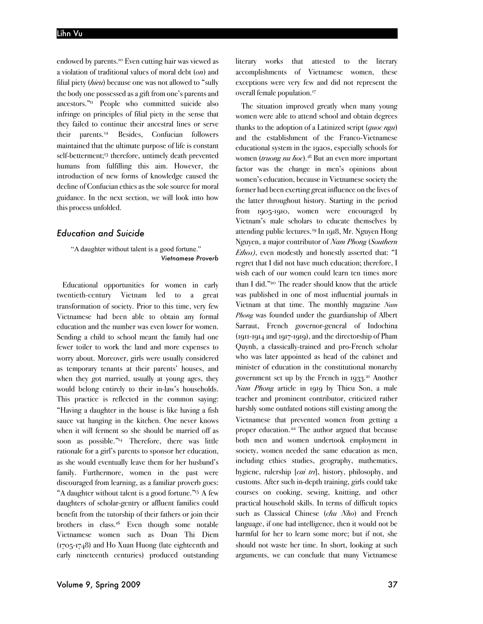endowed by parents.10 Even cutting hair was viewed as a violation of traditional values of moral debt (*on*) and filial piety (*hieu*) because one was not allowed to "sully the body one possessed as a gift from one's parents and ancestors."11 People who committed suicide also infringe on principles of filial piety in the sense that they failed to continue their ancestral lines or serve their parents.12 Besides, Confucian followers maintained that the ultimate purpose of life is constant self-betterment;<sup>13</sup> therefore, untimely death prevented humans from fulfilling this aim. However, the introduction of new forms of knowledge caused the decline of Confucian ethics as the sole source for moral guidance. In the next section, we will look into how this process unfolded.

#### *Education and Suicide*

"A daughter without talent is a good fortune." *Vietnamese Proverb*

Educational opportunities for women in early twentieth-century Vietnam led to a great transformation of society. Prior to this time, very few Vietnamese had been able to obtain any formal education and the number was even lower for women. Sending a child to school meant the family had one fewer toiler to work the land and more expenses to worry about. Moreover, girls were usually considered as temporary tenants at their parents' houses, and when they got married, usually at young ages, they would belong entirely to their in-law's households. This practice is reflected in the common saying: "Having a daughter in the house is like having a fish sauce vat hanging in the kitchen. One never knows when it will ferment so she should be married off as soon as possible."14 Therefore, there was little rationale for a girl's parents to sponsor her education, as she would eventually leave them for her husband's family. Furthermore, women in the past were discouraged from learning, as a familiar proverb goes: "A daughter without talent is a good fortune."15 A few daughters of scholar-gentry or affluent families could benefit from the tutorship of their fathers or join their brothers in class.16 Even though some notable Vietnamese women such as Doan Thi Diem (1705-1748) and Ho Xuan Huong (late eighteenth and early nineteenth centuries) produced outstanding literary works that attested to the literary accomplishments of Vietnamese women, these exceptions were very few and did not represent the overall female population.<sup>17</sup>

The situation improved greatly when many young women were able to attend school and obtain degrees thanks to the adoption of a Latinized script (*quoc ngu*) and the establishment of the Franco-Vietnamese educational system in the 1920s, especially schools for women (*truong nu hoc*).18 But an even more important factor was the change in men's opinions about women's education, because in Vietnamese society the former had been exerting great influence on the lives of the latter throughout history. Starting in the period from 1905-1910, women were encouraged by Vietnam's male scholars to educate themselves by attending public lectures.19 In 1918, Mr. Nguyen Hong Nguyen, a major contributor of *Nam Phong* (*Southern Ethos)*, even modestly and honestly asserted that: "I regret that I did not have much education; therefore, I wish each of our women could learn ten times more than I did."20 The reader should know that the article was published in one of most influential journals in Vietnam at that time. The monthly magazine *Nam Phong* was founded under the guardianship of Albert Sarraut, French governor-general of Indochina (1911-1914 and 1917-1919), and the directorship of Pham Quynh, a classically-trained and pro-French scholar who was later appointed as head of the cabinet and minister of education in the constitutional monarchy government set up by the French in  $1933$ <sup>21</sup> Another *Nam Phong* article in 1919 by Thieu Son, a male teacher and prominent contributor, criticized rather harshly some outdated notions still existing among the Vietnamese that prevented women from getting a proper education. <sup>22</sup> The author argued that because both men and women undertook employment in society, women needed the same education as men, including ethics studies, geography, mathematics, hygiene, rulership [*cai tri*], history, philosophy, and customs. After such in-depth training, girls could take courses on cooking, sewing, knitting, and other practical household skills. In terms of difficult topics such as Classical Chinese (*chu Nho*) and French language, if one had intelligence, then it would not be harmful for her to learn some more; but if not, she should not waste her time. In short, looking at such arguments, we can conclude that many Vietnamese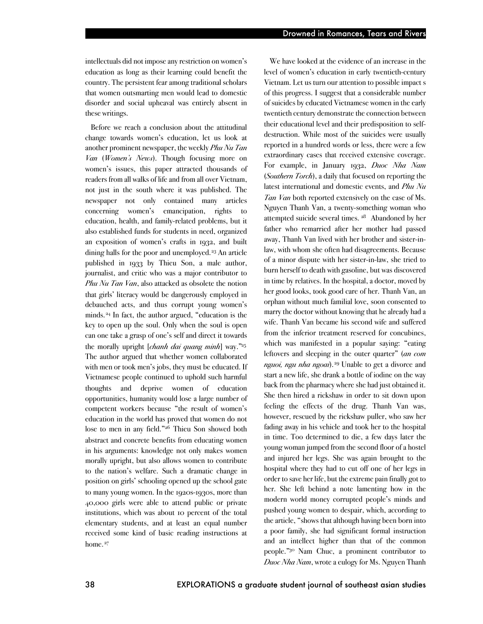intellectuals did not impose any restriction on women's education as long as their learning could benefit the country. The persistent fear among traditional scholars that women outsmarting men would lead to domestic disorder and social upheaval was entirely absent in these writings.

Before we reach a conclusion about the attitudinal change towards women's education, let us look at another prominent newspaper, the weekly *Phu Nu Tan Van* (*Women's News*). Though focusing more on women's issues, this paper attracted thousands of readers from all walks of life and from all over Vietnam, not just in the south where it was published. The newspaper not only contained many articles concerning women's emancipation, rights to education, health, and family-related problems, but it also established funds for students in need, organized an exposition of women's crafts in 1932, and built dining halls for the poor and unemployed.<sup>23</sup> An article published in 1933 by Thieu Son, a male author, journalist, and critic who was a major contributor to *Phu Nu Tan Van*, also attacked as obsolete the notion that girls' literacy would be dangerously employed in debauched acts, and thus corrupt young women's minds.24 In fact, the author argued, "education is the key to open up the soul. Only when the soul is open can one take a grasp of one's self and direct it towards the morally upright [*chanh dai quang minh*] way."25 The author argued that whether women collaborated with men or took men's jobs, they must be educated. If Vietnamese people continued to uphold such harmful thoughts and deprive women of education opportunities, humanity would lose a large number of competent workers because "the result of women's education in the world has proved that women do not lose to men in any field."26 Thieu Son showed both abstract and concrete benefits from educating women in his arguments: knowledge not only makes women morally upright, but also allows women to contribute to the nation's welfare. Such a dramatic change in position on girls' schooling opened up the school gate to many young women. In the 1920s-1930s, more than 40,000 girls were able to attend public or private institutions, which was about 10 percent of the total elementary students, and at least an equal number received some kind of basic reading instructions at home.<sup>27</sup>

We have looked at the evidence of an increase in the level of women's education in early twentieth-century Vietnam. Let us turn our attention to possible impact s of this progress. I suggest that a considerable number of suicides by educated Vietnamese women in the early twentieth century demonstrate the connection between their educational level and their predisposition to selfdestruction. While most of the suicides were usually reported in a hundred words or less, there were a few extraordinary cases that received extensive coverage. For example, in January 1932, *Duoc Nha Nam* (*Southern Torch*), a daily that focused on reporting the latest international and domestic events, and *Phu Nu Tan Van* both reported extensively on the case of Ms. Nguyen Thanh Van, a twenty-something woman who attempted suicide several times. <sup>28</sup> Abandoned by her father who remarried after her mother had passed away, Thanh Van lived with her brother and sister-inlaw, with whom she often had disagreements. Because of a minor dispute with her sister-in-law, she tried to burn herself to death with gasoline, but was discovered in time by relatives. In the hospital, a doctor, moved by her good looks, took good care of her. Thanh Van, an orphan without much familial love, soon consented to marry the doctor without knowing that he already had a wife. Thanh Van became his second wife and suffered from the inferior treatment reserved for concubines, which was manifested in a popular saying: "eating leftovers and sleeping in the outer quarter" (*an com nguoi, ngu nha ngoai*).29 Unable to get a divorce and start a new life, she drank a bottle of iodine on the way back from the pharmacy where she had just obtained it. She then hired a rickshaw in order to sit down upon feeling the effects of the drug. Thanh Van was, however, rescued by the rickshaw puller, who saw her fading away in his vehicle and took her to the hospital in time. Too determined to die, a few days later the young woman jumped from the second floor of a hostel and injured her legs. She was again brought to the hospital where they had to cut off one of her legs in order to save her life, but the extreme pain finally got to her. She left behind a note lamenting how in the modern world money corrupted people's minds and pushed young women to despair, which, according to the article, "shows that although having been born into a poor family, she had significant formal instruction and an intellect higher than that of the common people."30 Nam Chuc, a prominent contributor to *Duoc Nha Nam*, wrote a eulogy for Ms. Nguyen Thanh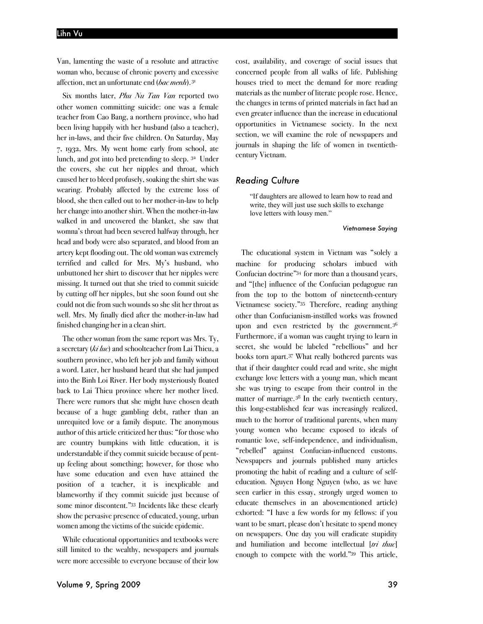#### Lihn Vu

Van, lamenting the waste of a resolute and attractive woman who, because of chronic poverty and excessive affection, met an unfortunate end (*bac menh*). <sup>31</sup>

Six months later, *Phu Nu Tan Van* reported two other women committing suicide: one was a female teacher from Cao Bang, a northern province, who had been living happily with her husband (also a teacher), her in-laws, and their five children. On Saturday, May 7, 1932, Mrs. My went home early from school, ate lunch, and got into bed pretending to sleep. <sup>32</sup> Under the covers, she cut her nipples and throat, which caused her to bleed profusely, soaking the shirt she was wearing. Probably affected by the extreme loss of blood, she then called out to her mother-in-law to help her change into another shirt. When the mother-in-law walked in and uncovered the blanket, she saw that womna's throat had been severed halfway through, her head and body were also separated, and blood from an artery kept flooding out. The old woman was extremely terrified and called for Mrs. My's husband, who unbuttoned her shirt to discover that her nipples were missing. It turned out that she tried to commit suicide by cutting off her nipples, but she soon found out she could not die from such wounds so she slit her throatas well. Mrs. My finally died after the mother-in-law had finished changing her in a clean shirt.

The other woman from the same report was Mrs. Ty, a secretary (*ki luc*) and schoolteacher from Lai Thieu, a southern province, who left her job and family without a word. Later, her husband heard that she had jumped into the Binh Loi River. Her body mysteriously floated back to Lai Thieu province where her mother lived. There were rumors that she might have chosen death because of a huge gambling debt, rather than an unrequited love or a family dispute. The anonymous author of this article criticized her thus: "for those who are country bumpkins with little education, it is understandable if they commit suicide because of pentup feeling about something; however, for those who have some education and even have attained the position of a teacher, it is inexplicable and blameworthy if they commit suicide just because of some minor discontent."33 Incidents like these clearly show the pervasive presence of educated, young, urban women among the victims of the suicide epidemic.

While educational opportunities and textbooks were still limited to the wealthy, newspapers and journals were more accessible to everyone because of their low

cost, availability, and coverage of social issues that concerned people from all walks of life. Publishing houses tried to meet the demand for more reading materials as the number of literate people rose. Hence, the changes in terms of printed materials in fact had an even greater influence than the increase in educational opportunities in Vietnamese society. In the next section, we will examine the role of newspapers and journals in shaping the life of women in twentiethcentury Vietnam.

#### *Reading Culture*

"If daughters are allowed to learn how to read and write, they will just use such skills to exchange love letters with lousy men."

*Vietnamese Saying*

The educational system in Vietnam was "solely a machine for producing scholars imbued with Confucian doctrine"34 for more than a thousand years, and "[the] influence of the Confucian pedagogue ran from the top to the bottom of nineteenth-century Vietnamese society."35 Therefore, reading anything other than Confucianism-instilled works was frowned upon and even restricted by the government.<sup>36</sup> Furthermore, if a woman was caught trying to learn in secret, she would be labeled "rebellious" and her books torn apart.37 What really bothered parents was that if their daughter could read and write, she might exchange love letters with a young man, which meant she was trying to escape from their control in the matter of marriage.38 In the early twentieth century, this long-established fear was increasingly realized, much to the horror of traditional parents, when many young women who became exposed to ideals of romantic love, self-independence, and individualism, "rebelled" against Confucian-influenced customs. Newspapers and journals published many articles promoting the habit of reading and a culture of selfeducation. Nguyen Hong Nguyen (who, as we have seen earlier in this essay, strongly urged women to educate themselves in an abovementioned article) exhorted: "I have a few words for my fellows: if you want to be smart, please don't hesitate to spend money on newspapers. One day you will eradicate stupidity and humiliation and become intellectual [*tri thuc*] enough to compete with the world."39 This article,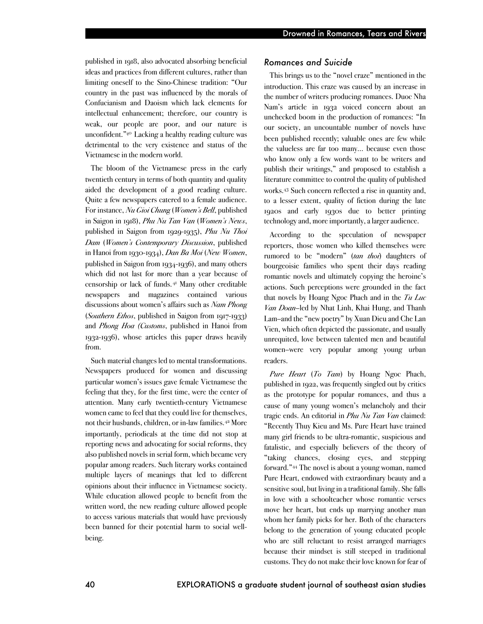published in 1918, also advocated absorbing beneficial ideas and practices from different cultures, rather than limiting oneself to the Sino-Chinese tradition: "Our country in the past was influenced by the morals of Confucianism and Daoism which lack elements for intellectual enhancement; therefore, our country is weak, our people are poor, and our nature is unconfident."40 Lacking a healthy reading culture was detrimental to the very existence and status of the Vietnamese in the modern world.

The bloom of the Vietnamese press in the early twentieth century in terms of both quantity and quality aided the development of a good reading culture. Quite a few newspapers catered to a female audience. For instance, *Nu Gioi Chung* (*Women's Bell*, published in Saigon in 1918), *Phu Nu Tan Van* (*Women's News*, published in Saigon from 1929-1935), *Phu Nu Thoi Dam* (*Women's Contemporary Discussion*, published in Hanoi from 1930-1934), *Dan Ba Moi* (*New Women*, published in Saigon from 1934-1936), and many others which did not last for more than a year because of censorship or lack of funds.41 Many other creditable newspapers and magazines contained various discussions about women's affairs such as *Nam Phong* (*Southern Ethos*, published in Saigon from 1917-1933) and *Phong Hoa (Customs*, published in Hanoi from 1932-1936), whose articles this paper draws heavily from.

Such material changes led to mental transformations. Newspapers produced for women and discussing particular women's issues gave female Vietnamese the feeling that they, for the first time, were the center of attention. Many early twentieth-century Vietnamese women came to feel that they could live for themselves, not their husbands, children, or in-law families.42 More importantly, periodicals at the time did not stop at reporting news and advocating for social reforms, they also published novels in serial form, which became very popular among readers. Such literary works contained multiple layers of meanings that led to different opinions about their influence in Vietnamese society. While education allowed people to benefit from the written word, the new reading culture allowed people to access various materials that would have previously been banned for their potential harm to social wellbeing.

#### *Romances and Suicide*

This brings us to the "novel craze" mentioned in the introduction. This craze was caused by an increase in the number of writers producing romances. Duoc Nha Nam's article in 1932 voiced concern about an unchecked boom in the production of romances: "In our society, an uncountable number of novels have been published recently; valuable ones are few while the valueless are far too many… because even those who know only a few words want to be writers and publish their writings," and proposed to establish a literature committee to control the quality of published works.43 Such concern reflected a rise in quantity and, to a lesser extent, quality of fiction during the late 1920s and early 1930s due to better printing technology and, more importantly, a larger audience.

According to the speculation of newspaper reporters, those women who killed themselves were rumored to be "modern" (*tan thoi*) daughters of bourgeoisie families who spent their days reading romantic novels and ultimately copying the heroine's actions. Such perceptions were grounded in the fact that novels by Hoang Ngoc Phach and in the *Tu Luc Van Doan*–led by Nhat Linh, Khai Hung, and Thanh Lam–and the "new poetry" by Xuan Dieu and Che Lan Vien, which often depicted the passionate, and usually unrequited, love between talented men and beautiful women–were very popular among young urban readers.

*Pure Heart* (*To Tam*) by Hoang Ngoc Phach, published in 1922, was frequently singled out by critics as the prototype for popular romances, and thus a cause of many young women's melancholy and their tragic ends. An editorial in *Phu Nu Tan Van* claimed: "Recently Thuy Kieu and Ms. Pure Heart have trained many girl friends to be ultra-romantic, suspicious and fatalistic, and especially believers of the theory of "taking chances, closing eyes, and stepping forward."44 The novel is about a young woman, named Pure Heart, endowed with extraordinary beauty and a sensitive soul, but living in atraditional family. She falls in love with a schoolteacher whose romantic verses move her heart, but ends up marrying another man whom her family picks for her. Both of the characters belong to the generation of young educated people who are still reluctant to resist arranged marriages because their mindset is still steeped in traditional customs. They do not make their love known for fear of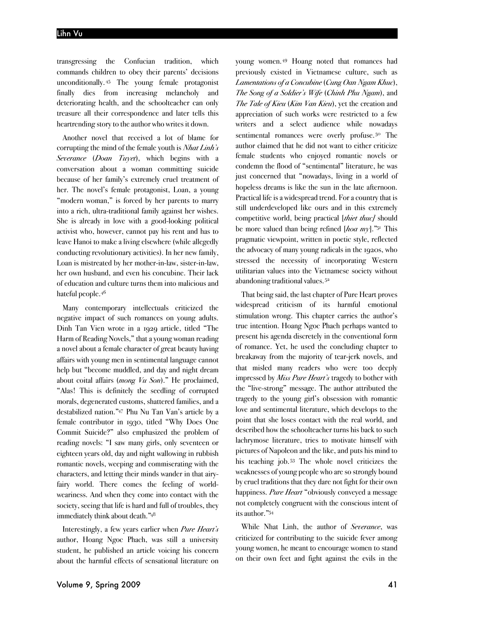transgressing the Confucian tradition, which commands children to obey their parents' decisions unconditionally. <sup>45</sup> The young female protagonist finally dies from increasing melancholy and deteriorating health, and the schoolteacher can only treasure all their correspondence and later tells this heartrending story to the author who writes it down.

Another novel that received a lot of blame for corrupting the mind of the female youth is *Nhat Linh's Severance* (*Doan Tuyet*), which begins with a conversation about a woman committing suicide because of her family's extremely cruel treatment of her. The novel's female protagonist, Loan, a young "modern woman," is forced by her parents to marry into a rich, ultra-traditional family against her wishes. She is already in love with a good-looking political activist who, however, cannot pay his rent and has to leave Hanoi to make a living elsewhere (while allegedly conducting revolutionary activities). In her new family, Loan is mistreated by her mother-in-law, sister-in-law, her own husband, and even his concubine. Their lack of education and culture turns them into malicious and hateful people.46

Many contemporary intellectuals criticized the negative impact of such romances on young adults. Dinh Tan Vien wrote in a 1929 article, titled "The Harm of Reading Novels," that a young woman reading a novel about a female character of great beauty having affairs with young men in sentimental language cannot help but "become muddled, and day and night dream about coital affairs (*mong Vu Son*)." He proclaimed, "Alas! This is definitely the seedling of corrupted morals, degenerated customs, shattered families, and a destabilized nation."47 Phu Nu Tan Van's article by a female contributor in 1930, titled "Why Does One Commit Suicide?" also emphasized the problem of reading novels: "I saw many girls, only seventeen or eighteen years old, day and night wallowing in rubbish romantic novels, weeping and commiserating with the characters, and letting their minds wander in that airyfairy world. There comes the feeling of worldweariness. And when they come into contact with the society, seeing that life is hard and full of troubles, they immediately think about death."48

Interestingly, a few years earlier when *Pure Heart's*  author, Hoang Ngoc Phach, was still a university student, he published an article voicing his concern about the harmful effects of sensational literature on young women.49 Hoang noted that romances had previously existed in Vietnamese culture, such as *Lamentations of a Concubine* (*Cung Oan Ngam Khuc*), *The Song of a Soldier's Wife* (*Chinh Phu Ngam*), and *The Tale of Kieu* (*Kim Van Kieu*), yet the creation and appreciation of such works were restricted to a few writers and a select audience while nowadays sentimental romances were overly profuse.<sup>50</sup> The author claimed that he did not want to either criticize female students who enjoyed romantic novels or condemn the flood of "sentimental" literature, he was just concerned that "nowadays, living in a world of hopeless dreams is like the sun in the late afternoon. Practical life is a widespread trend. For a country that is still underdeveloped like ours and in this extremely competitive world, being practical [*thiet thuc]* should be more valued than being refined [*hoa my*]."51 This pragmatic viewpoint, written in poetic style, reflected the advocacy of many young radicals in the 1920s, who stressed the necessity of incorporating Western utilitarian values into the Vietnamese society without abandoning traditional values.52

That being said, the last chapter of Pure Heart proves widespread criticism of its harmful emotional stimulation wrong. This chapter carries the author's true intention. Hoang Ngoc Phach perhaps wanted to present his agenda discretely in the conventional form of romance. Yet, he used the concluding chapter to breakaway from the majority of tear-jerk novels, and that misled many readers who were too deeply impressed by *Miss Pure Heart's* tragedy to bother with the "live-strong" message. The author attributed the tragedy to the young girl's obsession with romantic love and sentimental literature, which develops to the point that she loses contact with the real world, and described how the schoolteacher turns his back to such lachrymose literature, tries to motivate himself with pictures of Napoleon and the like, and puts his mind to his teaching job.53 The whole novel criticizes the weaknesses of young people who are so strongly bound by cruel traditions that they dare not fight for their own happiness. *Pure Heart* "obviously conveyed a message not completely congruent with the conscious intent of its author."54

While Nhat Linh, the author of *Severance*, was criticized for contributing to the suicide fever among young women, he meant to encourage women to stand on their own feet and fight against the evils in the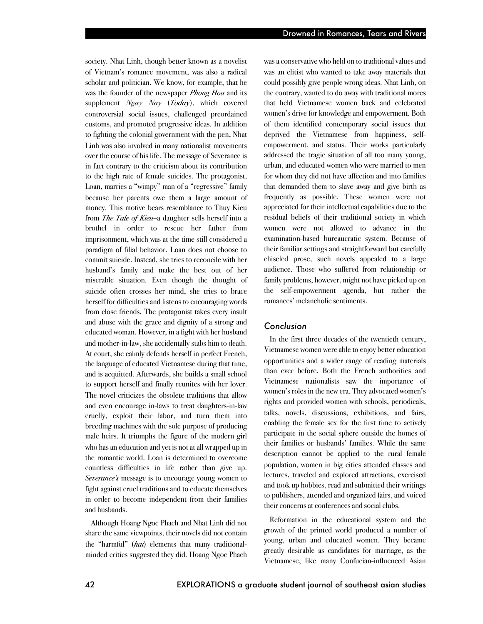society. Nhat Linh, though better known as a novelist of Vietnam's romance movement, was also a radical scholar and politician. We know, for example, that he was the founder of the newspaper *Phong Hoa* and its supplement *Ngay Nay* (*Today*), which covered controversial social issues, challenged preordained customs, and promoted progressive ideas. In addition to fighting the colonial government with the pen, Nhat Linh was also involved in many nationalist movements over the course of his life. The message of Severance is in fact contrary to the criticism about its contribution to the high rate of female suicides. The protagonist, Loan, marries a "wimpy" man of a "regressive" family because her parents owe them a large amount of money. This motive bears resemblance to Thuy Kieu from *The Tale of Kieu*–a daughter sells herself into a brothel in order to rescue her father from imprisonment, which was at the time still considered a paradigm of filial behavior. Loan does not choose to commit suicide. Instead, she tries to reconcile with her husband's family and make the best out of her miserable situation. Even though the thought of suicide often crosses her mind, she tries to brace herself for difficulties and listens to encouraging words from close friends. The protagonist takes every insult and abuse with the grace and dignity of a strong and educated woman. However, in a fight with her husband and mother-in-law, she accidentally stabs him to death. At court, she calmly defends herself in perfect French, the language of educated Vietnamese during that time, and is acquitted. Afterwards, she builds a small school to support herself and finally reunites with her lover. The novel criticizes the obsolete traditions that allow and even encourage in-laws to treat daughters-in-law cruelly, exploit their labor, and turn them into breeding machines with the sole purpose of producing male heirs. It triumphs the figure of the modern girl who has an education and yet is not at all wrapped up in the romantic world. Loan is determined to overcome countless difficulties in life rather than give up. *Severance's* message is to encourage young women to fight against cruel traditions and to educate themselves in order to become independent from their families and husbands.

Although Hoang Ngoc Phach and Nhat Linh did not share the same viewpoints, their novels did not contain the "harmful" (*hai*) elements that many traditionalminded critics suggested they did. Hoang Ngoc Phach was a conservative who held on to traditional values and was an elitist who wanted to take away materials that could possibly give people wrong ideas. Nhat Linh, on the contrary, wanted to do away with traditional mores that held Vietnamese women back and celebrated women's drive for knowledge and empowerment. Both of them identified contemporary social issues that deprived the Vietnamese from happiness, selfempowerment, and status. Their works particularly addressed the tragic situation of all too many young, urban, and educated women who were married to men for whom they did not have affection and into families that demanded them to slave away and give birth as frequently as possible. These women were not appreciated for their intellectual capabilities due to the residual beliefs of their traditional society in which women were not allowed to advance in the examination-based bureaucratic system. Because of their familiar settings and straightforward but carefully chiseled prose, such novels appealed to a large audience. Those who suffered from relationship or family problems, however, might not have picked up on the self-empowerment agenda, but rather the romances' melancholic sentiments.

#### *Conclusion*

In the first three decades of the twentieth century, Vietnamese women were able to enjoy better education opportunities and a wider range of reading materials than ever before. Both the French authorities and Vietnamese nationalists saw the importance of women's roles in the new era. They advocated women's rights and provided women with schools, periodicals, talks, novels, discussions, exhibitions, and fairs, enabling the female sex for the first time to actively participate in the social sphere outside the homes of their families or husbands' families. While the same description cannot be applied to the rural female population, women in big cities attended classes and lectures, traveled and explored attractions, exercised and took up hobbies, read and submitted their writings to publishers, attended and organized fairs, and voiced their concerns at conferences and social clubs.

Reformation in the educational system and the growth of the printed world produced a number of young, urban and educated women. They became greatly desirable as candidates for marriage, as the Vietnamese, like many Confucian-influenced Asian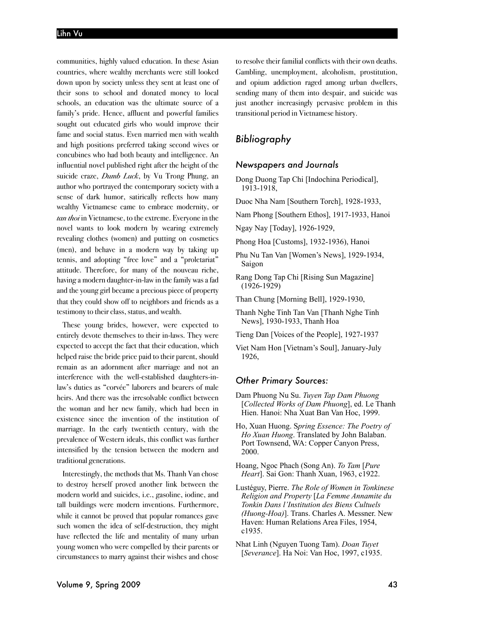communities, highly valued education. In these Asian countries, where wealthy merchants were still looked down upon by society unless they sent at least one of their sons to school and donated money to local schools, an education was the ultimate source of a family's pride. Hence, affluent and powerful families sought out educated girls who would improve their fame and social status. Even married men with wealth and high positions preferred taking second wives or concubines who had both beauty and intelligence. An influential novel published right after the height of the suicide craze, *Dumb Luck*, by Vu Trong Phung, an author who portrayed the contemporary society with a sense of dark humor, satirically reflects how many wealthy Vietnamese came to embrace modernity, or *tan thoi* in Vietnamese, to the extreme. Everyone in the novel wants to look modern by wearing extremely revealing clothes (women) and putting on cosmetics (men), and behave in a modern way by taking up tennis, and adopting "free love" and a "proletariat" attitude. Therefore, for many of the nouveau riche, having a modern daughter-in-law in the family was a fad and the young girl became a precious piece of property that they could show off to neighbors and friends as a testimony to their class, status, and wealth.

These young brides, however, were expected to entirely devote themselves to their in-laws. They were expected to accept the fact that their education, which helped raise the bride price paid to their parent, should remain as an adornment after marriage and not an interference with the well-established daughters-inlaw's duties as "corvée" laborers and bearers of male heirs. And there was the irresolvable conflict between the woman and her new family, which had been in existence since the invention of the institution of marriage. In the early twentieth century, with the prevalence of Western ideals, this conflict was further intensified by the tension between the modern and traditional generations.

Interestingly, the methods that Ms. Thanh Van chose to destroy herself proved another link between the modern world and suicides, i.e., gasoline, iodine, and tall buildings were modern inventions. Furthermore, while it cannot be proved that popular romances gave such women the idea of self-destruction, they might have reflected the life and mentality of many urban young women who were compelled by their parents or circumstances to marry against their wishes and chose to resolve their familial conflicts with their own deaths. Gambling, unemployment, alcoholism, prostitution, and opium addiction raged among urban dwellers, sending many of them into despair, and suicide was just another increasingly pervasive problem in this transitional period in Vietnamese history.

## *Bibliography*

#### *Newspapers and Journals*

- Dong Duong Tap Chi [Indochina Periodical], 1913-1918,
- Duoc Nha Nam [Southern Torch], 1928-1933,
- Nam Phong [Southern Ethos], 1917-1933, Hanoi
- Ngay Nay [Today], 1926-1929,
- Phong Hoa [Customs], 1932-1936), Hanoi
- Phu Nu Tan Van [Women's News], 1929-1934, Saigon
- Rang Dong Tap Chi [Rising Sun Magazine] (1926-1929)
- Than Chung [Morning Bell], 1929-1930,
- Thanh Nghe Tinh Tan Van [Thanh Nghe Tinh News], 1930-1933, Thanh Hoa
- Tieng Dan [Voices of the People], 1927-1937
- Viet Nam Hon [Vietnam's Soul], January-July 1926,

#### *Other Primary Sources:*

- Dam Phuong Nu Su. *Tuyen Tap Dam Phuong*  [*Collected Works of Dam Phuong*], ed. Le Thanh Hien. Hanoi: Nha Xuat Ban Van Hoc, 1999.
- Ho, Xuan Huong. S*pring Essence: The Poetry of Ho Xuan Huong*. Translated by John Balaban. Port Townsend, WA: Copper Canyon Press, 2000.
- Hoang, Ngoc Phach (Song An). *To Tam* [*Pure Heart*]. Sai Gon: Thanh Xuan, 1963, c1922.
- Lustéguy, Pierre. *The Role of Women in Tonkinese Religion and Property* [*La Femme Annamite du Tonkin Dans l'Institution des Biens Cultuels (Huong-Hoa)*]. Trans. Charles A. Messner. New Haven: Human Relations Area Files, 1954, c1935.
- Nhat Linh (Nguyen Tuong Tam). *Doan Tuyet*  [*Severance*]. Ha Noi: Van Hoc, 1997, c1935.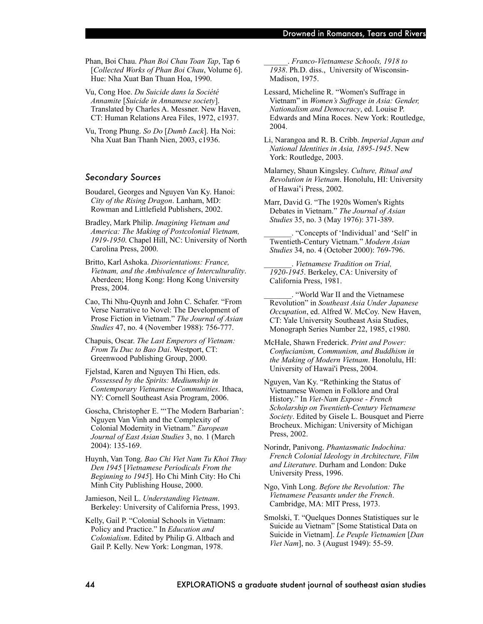Phan, Boi Chau. *Phan Boi Chau Toan Tap*, Tap 6 [*Collected Works of Phan Boi Chau*, Volume 6]. Hue: Nha Xuat Ban Thuan Hoa, 1990.

Vu, Cong Hoe. *Du Suicide dans la Société Annamite* [*Suicide in Annamese society*]. Translated by Charles A. Messner. New Haven, CT: Human Relations Area Files, 1972, c1937.

Vu, Trong Phung. *So Do* [*Dumb Luck*]. Ha Noi: Nha Xuat Ban Thanh Nien, 2003, c1936.

#### *Secondary Sources*

- Boudarel, Georges and Nguyen Van Ky. Hanoi: *City of the Rising Dragon*. Lanham, MD: Rowman and Littlefield Publishers, 2002.
- Bradley, Mark Philip. *Imagining Vietnam and America: The Making of Postcolonial Vietnam, 1919-1950*. Chapel Hill, NC: University of North Carolina Press, 2000.
- Britto, Karl Ashoka. *Disorientations: France, Vietnam, and the Ambivalence of Interculturality*. Aberdeen; Hong Kong: Hong Kong University Press, 2004.
- Cao, Thi Nhu-Quynh and John C. Schafer. "From Verse Narrative to Novel: The Development of Prose Fiction in Vietnam." *The Journal of Asian Studies* 47, no. 4 (November 1988): 756-777.
- Chapuis, Oscar. *The Last Emperors of Vietnam: From Tu Duc to Bao Dai*. Westport, CT: Greenwood Publishing Group, 2000.
- Fjelstad, Karen and Nguyen Thi Hien, eds. *Possessed by the Spirits: Mediumship in Contemporary Vietnamese Communities*. Ithaca, NY: Cornell Southeast Asia Program, 2006.

Goscha, Christopher E. "'The Modern Barbarian': Nguyen Van Vinh and the Complexity of Colonial Modernity in Vietnam." *European Journal of East Asian Studies* 3, no. 1 (March 2004): 135-169.

Huynh, Van Tong. *Bao Chi Viet Nam Tu Khoi Thuy Den 1945* [*Vietnamese Periodicals From the Beginning to 1945*]. Ho Chi Minh City: Ho Chi Minh City Publishing House, 2000.

Jamieson, Neil L. *Understanding Vietnam*. Berkeley: University of California Press, 1993.

Kelly, Gail P. "Colonial Schools in Vietnam: Policy and Practice." In *Education and Colonialism*. Edited by Philip G. Altbach and Gail P. Kelly. New York: Longman, 1978.

\_\_\_\_\_\_. *Franco-Vietnamese Schools, 1918 to 1938*. Ph.D. diss., University of Wisconsin-Madison, 1975.

Lessard, Micheline R. "Women's Suffrage in Vietnam" in *Women's Suffrage in Asia: Gender, Nationalism and Democracy*, ed. Louise P. Edwards and Mina Roces. New York: Routledge, 2004.

Li, Narangoa and R. B. Cribb. *Imperial Japan and National Identities in Asia, 1895-1945*. New York: Routledge, 2003.

- Malarney, Shaun Kingsley. *Culture, Ritual and Revolution in Vietnam*. Honolulu, HI: University of Hawai'i Press, 2002.
- Marr, David G. "The 1920s Women's Rights Debates in Vietnam." *The Journal of Asian Studies* 35, no. 3 (May 1976): 371-389.

\_\_\_\_\_\_\_. "Concepts of 'Individual' and 'Self' in Twentieth-Century Vietnam." *Modern Asian Studies* 34, no. 4 (October 2000): 769-796.

\_\_\_\_\_\_\_. *Vietnamese Tradition on Trial, 1920-1945*. Berkeley, CA: University of California Press, 1981.

\_\_\_\_\_\_\_. "World War II and the Vietnamese Revolution" in *Southeast Asia Under Japanese Occupation*, ed. Alfred W. McCoy. New Haven, CT: Yale University Southeast Asia Studies, Monograph Series Number 22, 1985, c1980.

- McHale, Shawn Frederick. *Print and Power: Confucianism, Communism, and Buddhism in the Making of Modern Vietnam*. Honolulu, HI: University of Hawai'i Press, 2004.
- Nguyen, Van Ky. "Rethinking the Status of Vietnamese Women in Folklore and Oral History." In *Viet-Nam Expose - French Scholarship on Twentieth-Century Vietnamese Society*. Edited by Gisele L. Bousquet and Pierre Brocheux. Michigan: University of Michigan Press, 2002.
- Norindr, Panivong. *Phantasmatic Indochina: French Colonial Ideology in Architecture, Film and Literature*. Durham and London: Duke University Press, 1996.
- Ngo, Vinh Long. *Before the Revolution: The Vietnamese Peasants under the French*. Cambridge, MA: MIT Press, 1973.

Smolski, T. "Quelques Donnes Statistiques sur le Suicide au Vietnam" [Some Statistical Data on Suicide in Vietnam]. *Le Peuple Vietnamien* [*Dan Viet Nam*], no. 3 (August 1949): 55-59.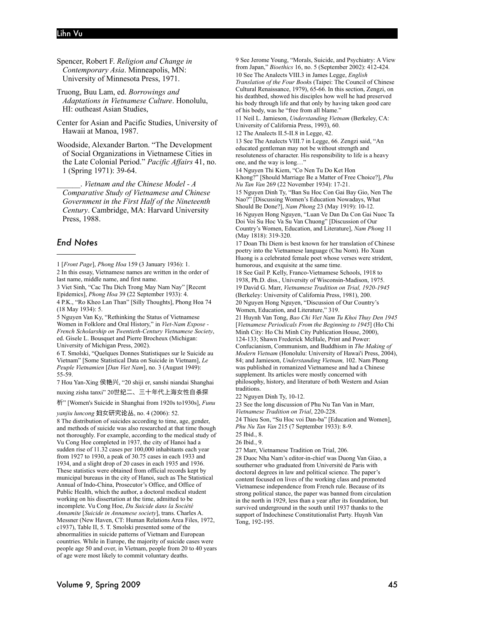#### Lihn Vu

Spencer, Robert F. *Religion and Change in Contemporary Asia*. Minneapolis, MN: University of Minnesota Press, 1971.

Truong, Buu Lam, ed. *Borrowings and Adaptations in Vietnamese Culture*. Honolulu, HI: outheast Asian Studies,

Center for Asian and Pacific Studies, University of Hawaii at Manoa, 1987.

Woodside, Alexander Barton. "The Development of Social Organizations in Vietnamese Cities in the Late Colonial Period." *Pacific Affairs* 41, no. 1 (Spring 1971): 39-64.

\_\_\_\_\_\_. *Vietnam and the Chinese Model - A Comparative Study of Vietnamese and Chinese Government in the First Half of the Nineteenth Century*. Cambridge, MA: Harvard University Press, 1988.

#### *End Notes*

2 In this essay, Vietnamese names are written in the order of last name, middle name, and first name.

3 Viet Sinh, "Cac Thu Dich Trong May Nam Nay" [Recent Epidemics], *Phong Hoa* 39 (22 September 1933): 4.

4 P.K., "Ro Kheo Lan Than" [Silly Thoughts], Phong Hoa 74 (18 May 1934): 5.

5 Nguyen Van Ky, "Rethinking the Status of Vietnamese Women in Folklore and Oral History," in *Viet-Nam Expose - French Scholarship on Twentieth-Century Vietnamese Society*, ed. Gisele L. Bousquet and Pierre Brocheux (Michigan: University of Michigan Press, 2002).

6 T. Smolski, "Quelques Donnes Statistiques sur le Suicide au Vietnam" [Some Statistical Data on Suicide in Vietnam], *Le Peuple Vietnamien* [*Dan Viet Nam*], no. 3 (August 1949): 55-59.

7 Hou Yan-Xing 侯艳兴, "20 shiji er, sanshi niandai Shanghai nuxing zisha tanxi" 20世纪二、三十年代上海女性自杀探

析" [Women's Suicide in Shanghai from 1920s to1930s], *Funu* 

*yanjiu luncong* 妇女研究论丛, no. 4 (2006): 52.

8 The distribution of suicides according to time, age, gender, and methods of suicide was also researched at that time though not thoroughly. For example, according to the medical study of Vu Cong Hoe completed in 1937, the city of Hanoi had a sudden rise of 11.32 cases per 100,000 inhabitants each year from 1927 to 1930, a peak of 30.75 cases in each 1933 and 1934, and a slight drop of 20 cases in each 1935 and 1936. These statistics were obtained from official records kept by municipal bureaus in the city of Hanoi, such as The Statistical Annual of Indo-China, Prosecutor's Office, and Office of Public Health, which the author, a doctoral medical student working on his dissertation at the time, admitted to be incomplete. Vu Cong Hoe, *Du Suicide dans la Société Annamite* [*Suicide in Annamese society*], trans. Charles A. Messner (New Haven, CT: Human Relations Area Files, 1972, c1937), Table II, 5. T. Smolski presented some of the abnormalities in suicide patterns of Vietnam and European countries. While in Europe, the majority of suicide cases were people age 50 and over, in Vietnam, people from 20 to 40 years of age were most likely to commit voluntary deaths.

9 See Jerome Young, "Morals, Suicide, and Psychiatry: A View from Japan," *Bioethics* 16, no. 5 (September 2002): 412-424. 10 See The Analects VIII.3 in James Legge, *English* 

*Translation of the Four Book*s (Taipei: The Council of Chinese Cultural Renaissance, 1979), 65-66. In this section, Zengzi, on his deathbed, showed his disciples how well he had preserved his body through life and that only by having taken good care of his body, was he "free from all blame."

11 Neil L. Jamieson, *Understanding Vietnam* (Berkeley, CA: University of California Press, 1993), 60.

12 The Analects II.5-II.8 in Legge, 42.

13 See The Analects VIII.7 in Legge, 66. Zengzi said, "An educated gentleman may not be without strength and resoluteness of character. His responsibility to life is a heavy one, and the way is long…"

14 Nguyen Thi Kiem, "Co Nen Tu Do Ket Hon

Khong?" [Should Marriage Be a Matter of Free Choice?], *Phu Nu Tan Van* 269 (22 November 1934): 17-21.

15 Nguyen Dinh Ty, "Ban Su Hoc Con Gai Bay Gio, Nen The Nao?" [Discussing Women's Education Nowadays, What Should Be Done?], *Nam Phong* 23 (May 1919): 10-12.

16 Nguyen Hong Nguyen, "Luan Ve Dan Da Con Gai Nuoc Ta Doi Voi Su Hoc Va Su Van Chuong" [Discussion of Our Country's Women, Education, and Literature], *Nam Phong* 11 (May 1818): 319-320.

17 Doan Thi Diem is best known for her translation of Chinese poetry into the Vietnamese language (Chu Nom). Ho Xuan Huong is a celebrated female poet whose verses were strident, humorous, and exquisite at the same time.

18 See Gail P. Kelly, Franco-Vietnamese Schools, 1918 to 1938, Ph.D. diss., University of Wisconsin-Madison, 1975. 19 David G. Marr, *Vietnamese Tradition on Trial, 1920-1945*  (Berkeley: University of California Press, 1981), 200. 20 Nguyen Hong Nguyen, "Discussion of Our Country's Women, Education, and Literature," 319.

21 Huynh Van Tong, *Bao Chi Viet Nam Tu Khoi Thuy Den 1945* [*Vietnamese Periodicals From the Beginning to 1945*] (Ho Chi Minh City: Ho Chi Minh City Publication House, 2000), 124-133; Shawn Frederick McHale, Print and Power: Confucianism, Communism, and Buddhism in *The Making of Modern Vietnam* (Honolulu: University of Hawai'i Press, 2004), 84; and Jamieson, *Understanding Vietnam,* 102. Nam Phong was published in romanized Vietnamese and had a Chinese supplement. Its articles were mostly concerned with philosophy, history, and literature of both Western and Asian traditions.

22 Nguyen Dinh Ty, 10-12.

23 See the long discussion of Phu Nu Tan Van in Marr, *Vietnamese Tradition on Trial*, 220-228.

24 Thieu Son, "Su Hoc voi Dan-ba" [Education and Women], *Phu Nu Tan Van* 215 (7 September 1933): 8-9.

25 Ibid., 8.

26 Ibid., 9.

27 Marr, Vietnamese Tradition on Trial, 206.

28 Duoc Nha Nam's editor-in-chief was Duong Van Giao, a southerner who graduated from Université de Paris with doctoral degrees in law and political science. The paper's content focused on lives of the working class and promoted Vietnamese independence from French rule. Because of its strong political stance, the paper was banned from circulation in the north in 1929, less than a year after its foundation, but survived underground in the south until 1937 thanks to the support of Indochinese Constitutionalist Party. Huynh Van Tong, 192-195.

<sup>1 [</sup>*Front Page*], *Phong Hoa* 159 (3 January 1936): 1.